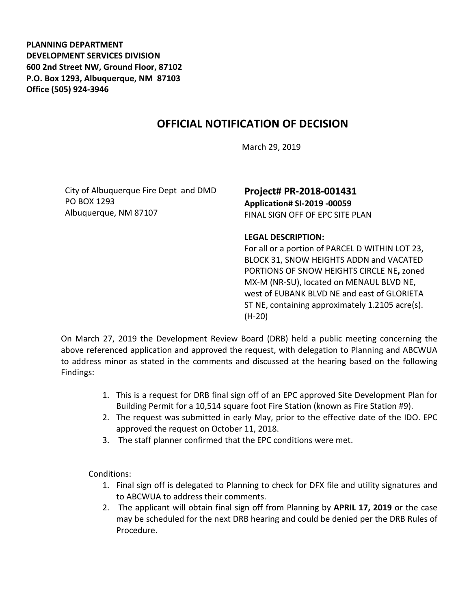**PLANNING DEPARTMENT DEVELOPMENT SERVICES DIVISION 600 2nd Street NW, Ground Floor, 87102 P.O. Box 1293, Albuquerque, NM 87103 Office (505) 924-3946** 

## **OFFICIAL NOTIFICATION OF DECISION**

March 29, 2019

City of Albuquerque Fire Dept and DMD PO BOX 1293 Albuquerque, NM 87107

## **Project# PR-2018-001431 Application# SI-2019 -00059** FINAL SIGN OFF OF EPC SITE PLAN

## **LEGAL DESCRIPTION:**

For all or a portion of PARCEL D WITHIN LOT 23, BLOCK 31, SNOW HEIGHTS ADDN and VACATED PORTIONS OF SNOW HEIGHTS CIRCLE NE**,** zoned MX-M (NR-SU), located on MENAUL BLVD NE, west of EUBANK BLVD NE and east of GLORIETA ST NE, containing approximately 1.2105 acre(s). (H-20)

On March 27, 2019 the Development Review Board (DRB) held a public meeting concerning the above referenced application and approved the request, with delegation to Planning and ABCWUA to address minor as stated in the comments and discussed at the hearing based on the following Findings:

- 1. This is a request for DRB final sign off of an EPC approved Site Development Plan for Building Permit for a 10,514 square foot Fire Station (known as Fire Station #9).
- 2. The request was submitted in early May, prior to the effective date of the IDO. EPC approved the request on October 11, 2018.
- 3. The staff planner confirmed that the EPC conditions were met.

Conditions:

- 1. Final sign off is delegated to Planning to check for DFX file and utility signatures and to ABCWUA to address their comments.
- 2. The applicant will obtain final sign off from Planning by **APRIL 17, 2019** or the case may be scheduled for the next DRB hearing and could be denied per the DRB Rules of Procedure.